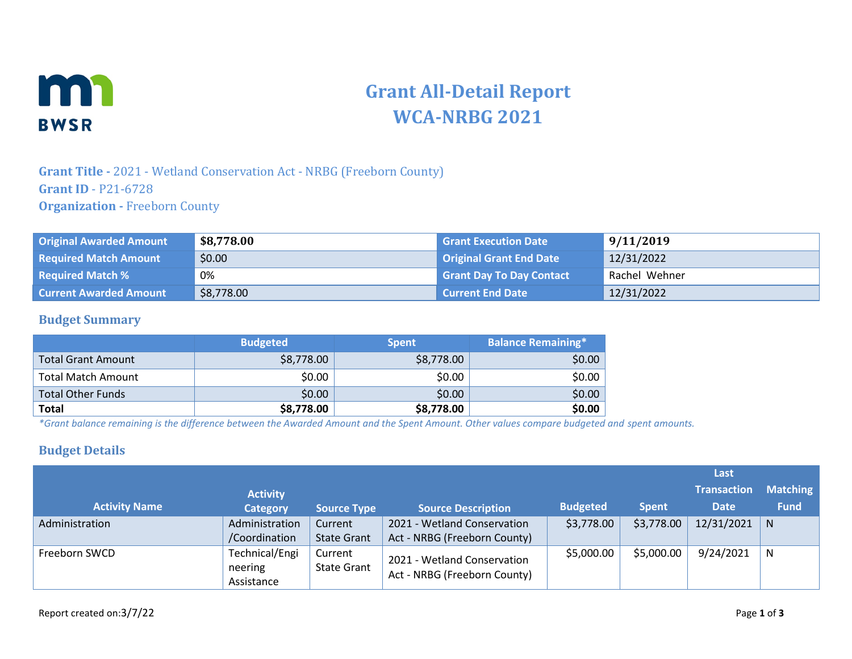

# **Grant All-Detail Report WCA-NRBG 2021**

## **Grant Title -** 2021 - Wetland Conservation Act - NRBG (Freeborn County) **Grant ID** - P21-6728 **Organization -** Freeborn County

| <b>Original Awarded Amount</b> | \$8,778.00 | <b>Grant Execution Date 1</b>   | 9/11/2019     |
|--------------------------------|------------|---------------------------------|---------------|
| <b>Required Match Amount</b>   | \$0.00     | <b>Original Grant End Date</b>  | 12/31/2022    |
| <b>Required Match %</b>        | 0%         | <b>Grant Day To Day Contact</b> | Rachel Wehner |
| <b>Current Awarded Amount</b>  | \$8,778.00 | <b>Current End Date</b>         | 12/31/2022    |

#### **Budget Summary**

|                           | <b>Budgeted</b> | <b>Spent</b> | <b>Balance Remaining*</b> |
|---------------------------|-----------------|--------------|---------------------------|
| <b>Total Grant Amount</b> | \$8,778.00      | \$8,778.00   | \$0.00                    |
| <b>Total Match Amount</b> | \$0.00          | \$0.00       | \$0.00                    |
| <b>Total Other Funds</b>  | \$0.00          | \$0.00       | \$0.00                    |
| <b>Total</b>              | \$8,778.00      | \$8,778.00   | \$0.00                    |

*\*Grant balance remaining is the difference between the Awarded Amount and the Spent Amount. Other values compare budgeted and spent amounts.*

#### **Budget Details**

|                      |                                         |                               |                                                             |                 |              | Last               |                 |
|----------------------|-----------------------------------------|-------------------------------|-------------------------------------------------------------|-----------------|--------------|--------------------|-----------------|
|                      | <b>Activity</b>                         |                               |                                                             |                 |              | <b>Transaction</b> | <b>Matching</b> |
| <b>Activity Name</b> | <b>Category</b>                         | <b>Source Type</b>            | <b>Source Description</b>                                   | <b>Budgeted</b> | <b>Spent</b> | <b>Date</b>        | <b>Fund</b>     |
| Administration       | Administration<br>/Coordination         | Current<br><b>State Grant</b> | 2021 - Wetland Conservation<br>Act - NRBG (Freeborn County) | \$3,778.00      | \$3,778.00   | 12/31/2021         | N               |
| Freeborn SWCD        | Technical/Engi<br>neering<br>Assistance | Current<br><b>State Grant</b> | 2021 - Wetland Conservation<br>Act - NRBG (Freeborn County) | \$5,000.00      | \$5,000.00   | 9/24/2021          | N               |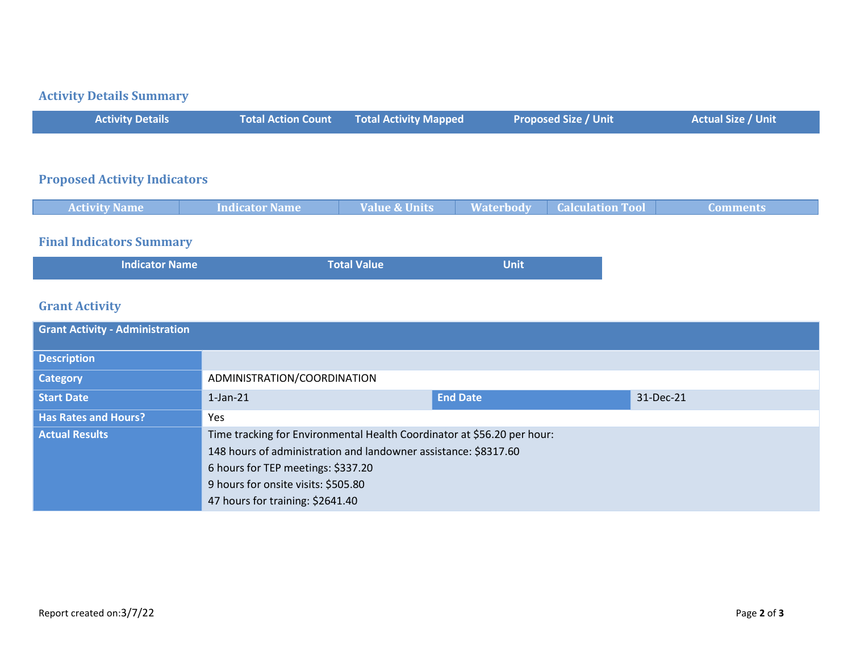# **Activity Details Summary**

| <b>Activity Details</b> | Total Action Count Total Activity Mapped | <b>Proposed Size / Unit</b> | <b>Actual Size / Unit</b> |
|-------------------------|------------------------------------------|-----------------------------|---------------------------|
|                         |                                          |                             |                           |

#### **Proposed Activity Indicators**

| <b>Activity Name</b> | <b>Indicator Name</b> | <b>Value &amp; Units</b> | <b>Waterbody</b> | <b>Calculation Tool</b> | Comments |
|----------------------|-----------------------|--------------------------|------------------|-------------------------|----------|
|                      |                       |                          |                  |                         |          |

# **Final Indicators Summary**

| <b>Indicator Name</b> | <b>Total Value</b> | <b>Unit</b> |
|-----------------------|--------------------|-------------|
|                       |                    |             |

# **Grant Activity**

| <b>Grant Activity - Administration</b> |                                                                         |                 |           |
|----------------------------------------|-------------------------------------------------------------------------|-----------------|-----------|
| <b>Description</b>                     |                                                                         |                 |           |
| Category                               | ADMINISTRATION/COORDINATION                                             |                 |           |
| <b>Start Date</b>                      | $1$ -Jan- $21$                                                          | <b>End Date</b> | 31-Dec-21 |
| <b>Has Rates and Hours?</b>            | Yes                                                                     |                 |           |
| <b>Actual Results</b>                  | Time tracking for Environmental Health Coordinator at \$56.20 per hour: |                 |           |
|                                        | 148 hours of administration and landowner assistance: \$8317.60         |                 |           |
|                                        | 6 hours for TEP meetings: \$337.20                                      |                 |           |
|                                        | 9 hours for onsite visits: \$505.80                                     |                 |           |
|                                        | 47 hours for training: \$2641.40                                        |                 |           |